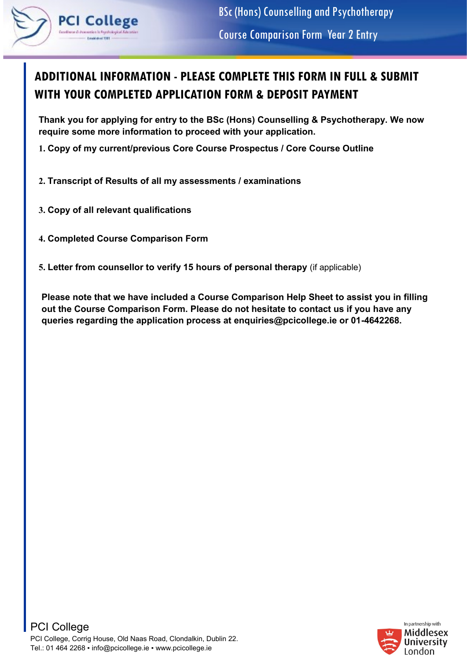

## **ADDITIONAL INFORMATION - PLEASE COMPLETE THIS FORM IN FULL & SUBMIT WITH YOUR COMPLETED APPLICATION FORM & DEPOSIT PAYMENT**

**Thank you for applying for entry to the BSc (Hons) Counselling & Psychotherapy. We now require some more information to proceed with your application.** 

- **1. Copy of my current/previous Core Course Prospectus / Core Course Outline**
- **2. Transcript of Results of all my assessments / examinations**
- **3. Copy of all relevant qualifications**
- **4. Completed Course Comparison Form**
- **5. Letter from counsellor to verify 15 hours of personal therapy** (if applicable)

**Please note that we have included a Course Comparison Help Sheet to assist you in filling out the Course Comparison Form. Please do not hesitate to contact us if you have any queries regarding the application process at enquiries@pcicollege.ie or 01-4642268.** 

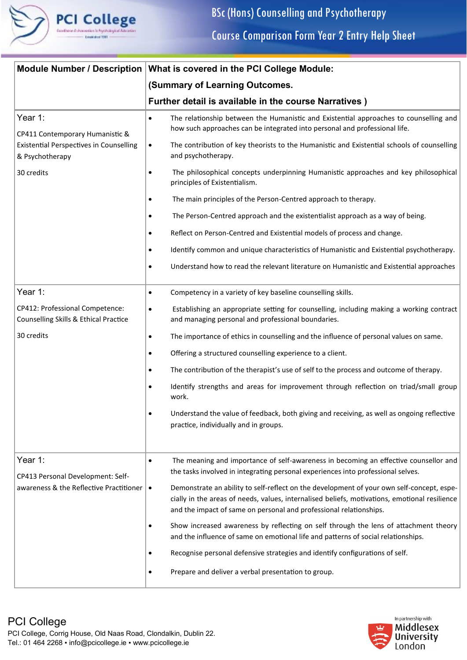

| <b>Module Number / Description</b>                                       | What is covered in the PCI College Module:                                                                                                                                                                                                                                    |
|--------------------------------------------------------------------------|-------------------------------------------------------------------------------------------------------------------------------------------------------------------------------------------------------------------------------------------------------------------------------|
|                                                                          | (Summary of Learning Outcomes.                                                                                                                                                                                                                                                |
|                                                                          | Further detail is available in the course Narratives)                                                                                                                                                                                                                         |
| Year 1:<br>CP411 Contemporary Humanistic &                               | The relationship between the Humanistic and Existential approaches to counselling and<br>$\bullet$<br>how such approaches can be integrated into personal and professional life.                                                                                              |
| <b>Existential Perspectives in Counselling</b><br>& Psychotherapy        | The contribution of key theorists to the Humanistic and Existential schools of counselling<br>$\bullet$<br>and psychotherapy.                                                                                                                                                 |
| 30 credits                                                               | The philosophical concepts underpinning Humanistic approaches and key philosophical<br>principles of Existentialism.                                                                                                                                                          |
|                                                                          | The main principles of the Person-Centred approach to therapy.                                                                                                                                                                                                                |
|                                                                          | The Person-Centred approach and the existentialist approach as a way of being.<br>$\bullet$                                                                                                                                                                                   |
|                                                                          | Reflect on Person-Centred and Existential models of process and change.<br>٠                                                                                                                                                                                                  |
|                                                                          | Identify common and unique characteristics of Humanistic and Existential psychotherapy.<br>$\bullet$                                                                                                                                                                          |
|                                                                          | Understand how to read the relevant literature on Humanistic and Existential approaches<br>٠                                                                                                                                                                                  |
| Year 1:                                                                  | Competency in a variety of key baseline counselling skills.<br>$\bullet$                                                                                                                                                                                                      |
| CP412: Professional Competence:<br>Counselling Skills & Ethical Practice | Establishing an appropriate setting for counselling, including making a working contract<br>$\bullet$<br>and managing personal and professional boundaries.                                                                                                                   |
| 30 credits                                                               | The importance of ethics in counselling and the influence of personal values on same.<br>$\bullet$                                                                                                                                                                            |
|                                                                          | Offering a structured counselling experience to a client.<br>$\bullet$                                                                                                                                                                                                        |
|                                                                          | The contribution of the therapist's use of self to the process and outcome of therapy.                                                                                                                                                                                        |
|                                                                          | Identify strengths and areas for improvement through reflection on triad/small group<br>work.                                                                                                                                                                                 |
|                                                                          | Understand the value of feedback, both giving and receiving, as well as ongoing reflective<br>٠<br>practice, individually and in groups.                                                                                                                                      |
| Year 1:                                                                  | The meaning and importance of self-awareness in becoming an effective counsellor and<br>$\bullet$                                                                                                                                                                             |
| CP413 Personal Development: Self-                                        | the tasks involved in integrating personal experiences into professional selves.                                                                                                                                                                                              |
| awareness & the Reflective Practitioner                                  | Demonstrate an ability to self-reflect on the development of your own self-concept, espe-<br>$\bullet$<br>cially in the areas of needs, values, internalised beliefs, motivations, emotional resilience<br>and the impact of same on personal and professional relationships. |
|                                                                          | Show increased awareness by reflecting on self through the lens of attachment theory<br>and the influence of same on emotional life and patterns of social relationships.                                                                                                     |
|                                                                          | Recognise personal defensive strategies and identify configurations of self.                                                                                                                                                                                                  |
|                                                                          | Prepare and deliver a verbal presentation to group.                                                                                                                                                                                                                           |

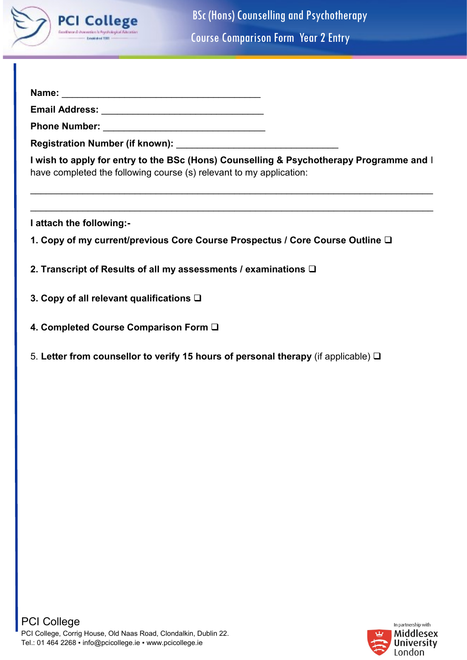

BSc (Hons) Counselling and Psychotherapy Course Comparison Form Year 2 Entry

| Name: |  |
|-------|--|
|       |  |
|       |  |

**Email Address:** \_\_\_\_\_\_\_\_\_\_\_\_\_\_\_\_\_\_\_\_\_\_\_\_\_\_\_\_\_\_\_

**Phone Number:** \_\_\_\_\_\_\_\_\_\_\_\_\_\_\_\_\_\_\_\_\_\_\_\_\_\_\_\_\_\_\_

**Registration Number (if known):** 

**I wish to apply for entry to the BSc (Hons) Counselling & Psychotherapy Programme and** I have completed the following course (s) relevant to my application:

\_\_\_\_\_\_\_\_\_\_\_\_\_\_\_\_\_\_\_\_\_\_\_\_\_\_\_\_\_\_\_\_\_\_\_\_\_\_\_\_\_\_\_\_\_\_\_\_\_\_\_\_\_\_\_\_\_\_\_\_\_\_\_\_\_\_\_\_\_\_\_\_\_\_\_\_\_

\_\_\_\_\_\_\_\_\_\_\_\_\_\_\_\_\_\_\_\_\_\_\_\_\_\_\_\_\_\_\_\_\_\_\_\_\_\_\_\_\_\_\_\_\_\_\_\_\_\_\_\_\_\_\_\_\_\_\_\_\_\_\_\_\_\_\_\_\_\_\_\_\_\_\_\_\_

**I attach the following:-**

- **1. Copy of my current/previous Core Course Prospectus / Core Course Outline** ❑
- **2. Transcript of Results of all my assessments / examinations** ❑
- **3. Copy of all relevant qualifications** ❑
- **4. Completed Course Comparison Form** ❑
- 5. **Letter from counsellor to verify 15 hours of personal therapy** (if applicable) ❑